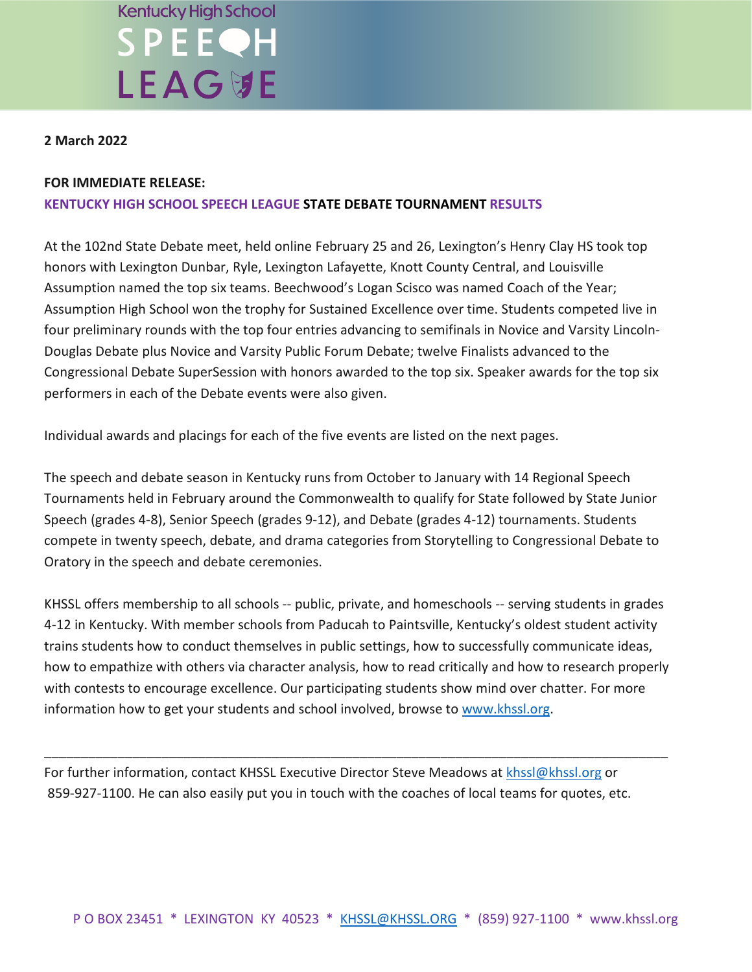#### **Kentucky High School** SPEEQH **LEAG切E**

#### **2 March 2022**

#### **FOR IMMEDIATE RELEASE:**

#### **KENTUCKY HIGH SCHOOL SPEECH LEAGUE STATE DEBATE TOURNAMENT RESULTS**

At the 102nd State Debate meet, held online February 25 and 26, Lexington's Henry Clay HS took top honors with Lexington Dunbar, Ryle, Lexington Lafayette, Knott County Central, and Louisville Assumption named the top six teams. Beechwood's Logan Scisco was named Coach of the Year; Assumption High School won the trophy for Sustained Excellence over time. Students competed live in four preliminary rounds with the top four entries advancing to semifinals in Novice and Varsity Lincoln-Douglas Debate plus Novice and Varsity Public Forum Debate; twelve Finalists advanced to the Congressional Debate SuperSession with honors awarded to the top six. Speaker awards for the top six performers in each of the Debate events were also given.

Individual awards and placings for each of the five events are listed on the next pages.

The speech and debate season in Kentucky runs from October to January with 14 Regional Speech Tournaments held in February around the Commonwealth to qualify for State followed by State Junior Speech (grades 4-8), Senior Speech (grades 9-12), and Debate (grades 4-12) tournaments. Students compete in twenty speech, debate, and drama categories from Storytelling to Congressional Debate to Oratory in the speech and debate ceremonies.

KHSSL offers membership to all schools -- public, private, and homeschools -- serving students in grades 4-12 in Kentucky. With member schools from Paducah to Paintsville, Kentucky's oldest student activity trains students how to conduct themselves in public settings, how to successfully communicate ideas, how to empathize with others via character analysis, how to read critically and how to research properly with contests to encourage excellence. Our participating students show mind over chatter. For more information how to get your students and school involved, browse to [www.khssl.org.](http://www.khssl.org/)

\_\_\_\_\_\_\_\_\_\_\_\_\_\_\_\_\_\_\_\_\_\_\_\_\_\_\_\_\_\_\_\_\_\_\_\_\_\_\_\_\_\_\_\_\_\_\_\_\_\_\_\_\_\_\_\_\_\_\_\_\_\_\_\_\_\_\_\_\_\_\_\_\_\_\_\_\_\_\_\_\_\_\_\_\_

For further information, contact KHSSL Executive Director Steve Meadows at [khssl@khssl.org](mailto:khssl@khssl.org) or 859-927-1100. He can also easily put you in touch with the coaches of local teams for quotes, etc.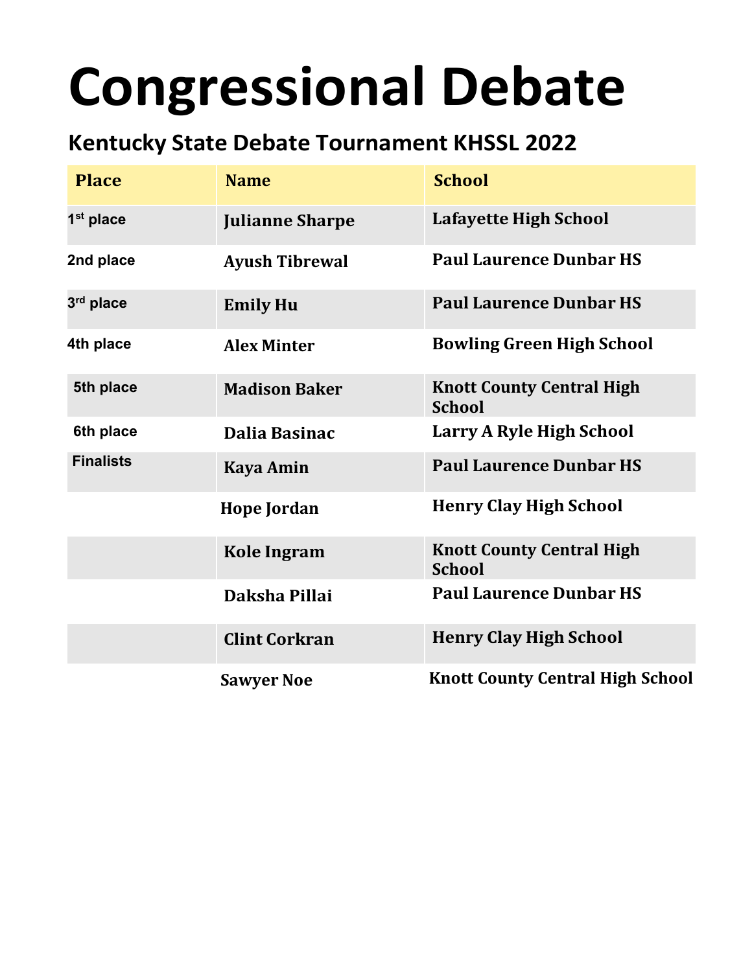# **Congressional Debate**

#### **Kentucky State Debate Tournament KHSSL 2022**

| <b>Place</b>          | <b>Name</b>            | <b>School</b>                                     |
|-----------------------|------------------------|---------------------------------------------------|
| 1 <sup>st</sup> place | <b>Julianne Sharpe</b> | <b>Lafayette High School</b>                      |
| 2nd place             | <b>Ayush Tibrewal</b>  | <b>Paul Laurence Dunbar HS</b>                    |
| 3rd place             | <b>Emily Hu</b>        | <b>Paul Laurence Dunbar HS</b>                    |
| 4th place             | <b>Alex Minter</b>     | <b>Bowling Green High School</b>                  |
| 5th place             | <b>Madison Baker</b>   | <b>Knott County Central High</b><br><b>School</b> |
| 6th place             | Dalia Basinac          | Larry A Ryle High School                          |
| <b>Finalists</b>      | <b>Kaya Amin</b>       | <b>Paul Laurence Dunbar HS</b>                    |
|                       | <b>Hope Jordan</b>     | <b>Henry Clay High School</b>                     |
|                       | <b>Kole Ingram</b>     | <b>Knott County Central High</b><br><b>School</b> |
|                       | Daksha Pillai          | <b>Paul Laurence Dunbar HS</b>                    |
|                       | <b>Clint Corkran</b>   | <b>Henry Clay High School</b>                     |
|                       | <b>Sawyer Noe</b>      | <b>Knott County Central High School</b>           |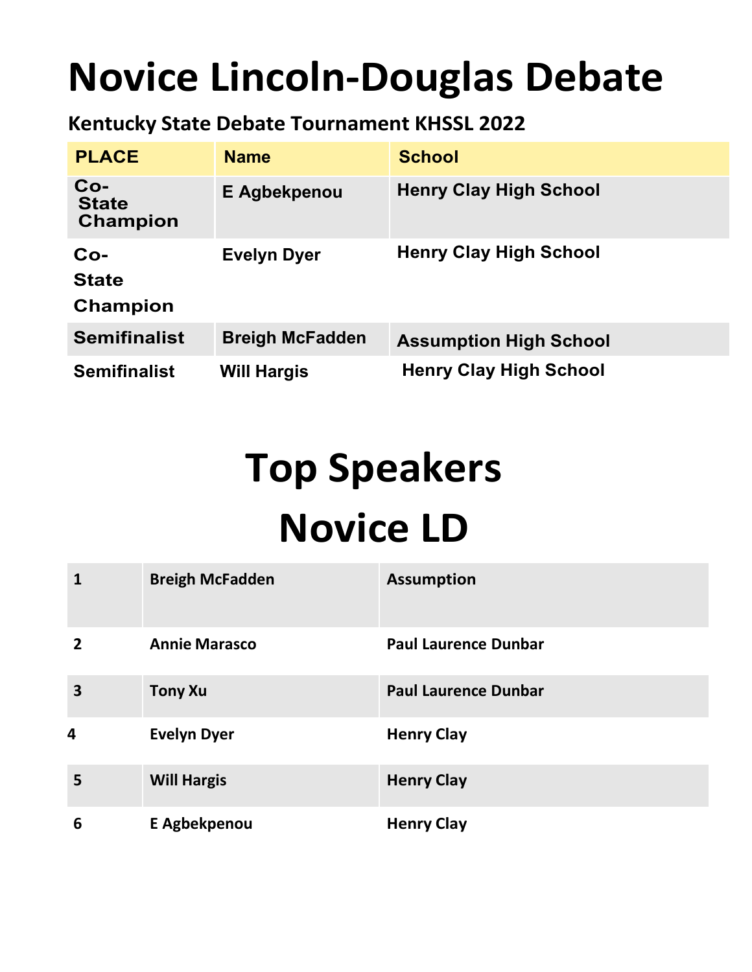### **Novice Lincoln-Douglas Debate**

#### **Kentucky State Debate Tournament KHSSL 2022**

| <b>PLACE</b>                             | <b>Name</b>            | <b>School</b>                 |
|------------------------------------------|------------------------|-------------------------------|
| $Co-$<br><b>State</b><br><b>Champion</b> | E Agbekpenou           | <b>Henry Clay High School</b> |
| $Co-$<br><b>State</b><br><b>Champion</b> | <b>Evelyn Dyer</b>     | <b>Henry Clay High School</b> |
| <b>Semifinalist</b>                      | <b>Breigh McFadden</b> | <b>Assumption High School</b> |
| <b>Semifinalist</b>                      | <b>Will Hargis</b>     | <b>Henry Clay High School</b> |

## **Top Speakers Novice LD**

|                         | <b>Breigh McFadden</b> | <b>Assumption</b>           |
|-------------------------|------------------------|-----------------------------|
| $\overline{2}$          | <b>Annie Marasco</b>   | <b>Paul Laurence Dunbar</b> |
| $\overline{\mathbf{3}}$ | <b>Tony Xu</b>         | <b>Paul Laurence Dunbar</b> |
| 4                       | <b>Evelyn Dyer</b>     | <b>Henry Clay</b>           |
| 5                       | <b>Will Hargis</b>     | <b>Henry Clay</b>           |
| 6                       | E Agbekpenou           | <b>Henry Clay</b>           |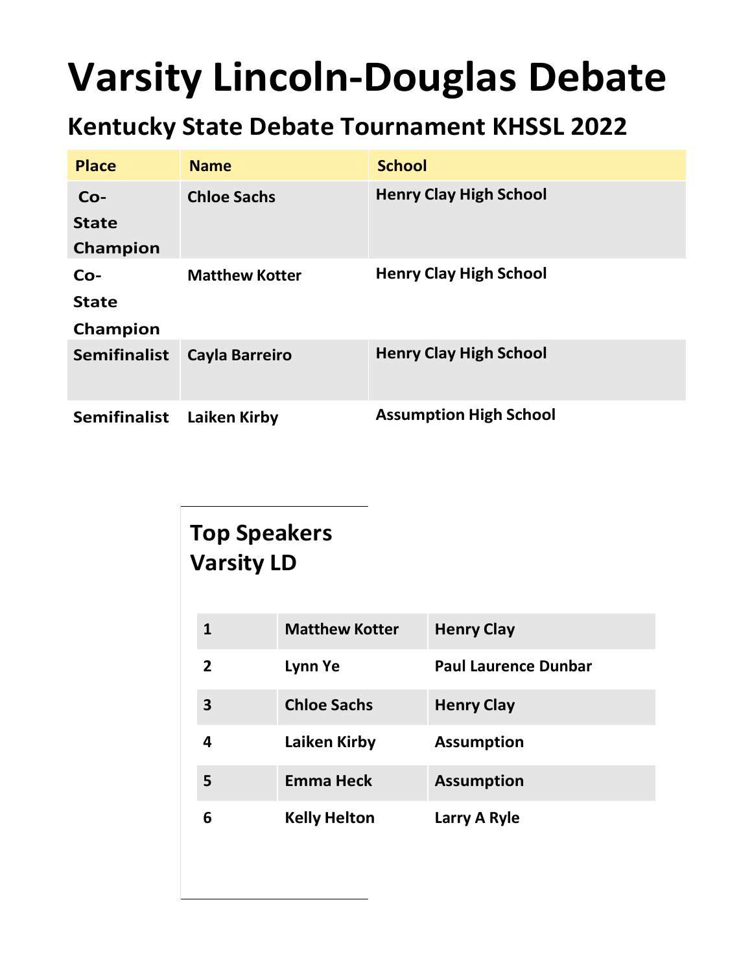### **Varsity Lincoln-Douglas Debate**

#### **Kentucky State Debate Tournament KHSSL 2022**

| <b>Place</b>        | <b>Name</b>           | <b>School</b>                 |
|---------------------|-----------------------|-------------------------------|
| $Co-$               | <b>Chloe Sachs</b>    | <b>Henry Clay High School</b> |
| <b>State</b>        |                       |                               |
| Champion            |                       |                               |
| $Co-$               | <b>Matthew Kotter</b> | <b>Henry Clay High School</b> |
| <b>State</b>        |                       |                               |
| Champion            |                       |                               |
| <b>Semifinalist</b> | <b>Cayla Barreiro</b> | <b>Henry Clay High School</b> |
| <b>Semifinalist</b> | Laiken Kirby          | <b>Assumption High School</b> |

#### **Top Speakers Varsity LD**

| 1 | <b>Matthew Kotter</b> | <b>Henry Clay</b>           |
|---|-----------------------|-----------------------------|
| 2 | Lynn Ye               | <b>Paul Laurence Dunbar</b> |
| 3 | <b>Chloe Sachs</b>    | <b>Henry Clay</b>           |
| 4 | Laiken Kirby          | <b>Assumption</b>           |
| 5 | <b>Emma Heck</b>      | <b>Assumption</b>           |
| 6 | <b>Kelly Helton</b>   | Larry A Ryle                |
|   |                       |                             |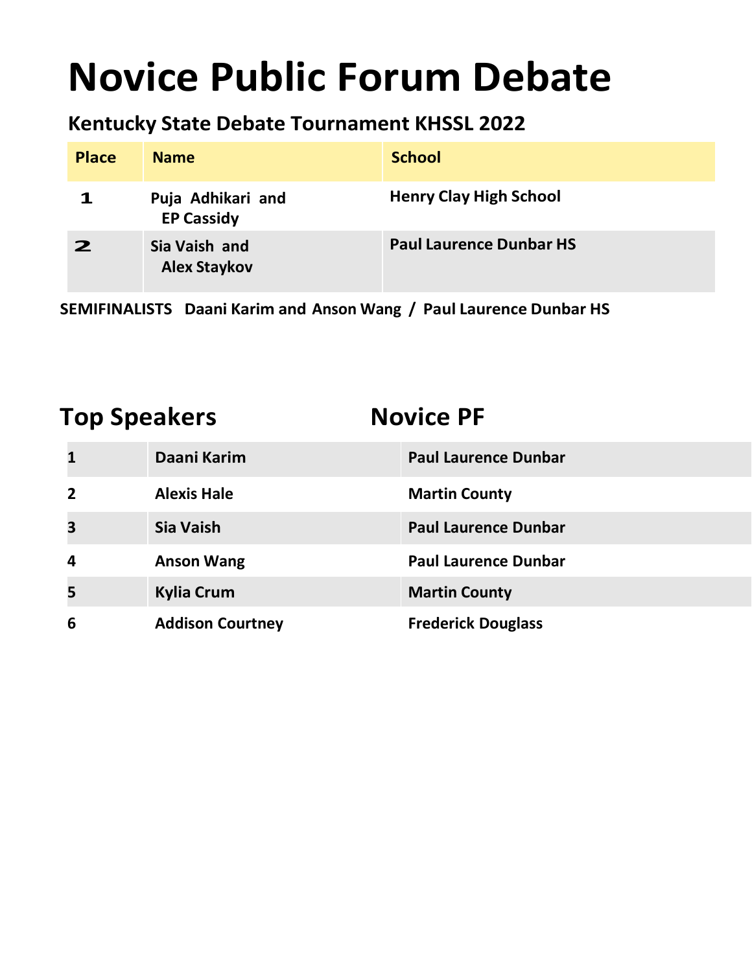### **Novice Public Forum Debate**

#### **Kentucky State Debate Tournament KHSSL 2022**

| <b>Place</b> | <b>Name</b>                            | <b>School</b>                  |
|--------------|----------------------------------------|--------------------------------|
|              | Puja Adhikari and<br><b>EP Cassidy</b> | <b>Henry Clay High School</b>  |
| 2            | Sia Vaish and<br><b>Alex Staykov</b>   | <b>Paul Laurence Dunbar HS</b> |

**SEMIFINALISTS Daani Karim and Anson Wang / Paul Laurence Dunbar HS**

#### **Top Speakers Novice PF**

| $\mathbf{1}$            | Daani Karim             | <b>Paul Laurence Dunbar</b> |
|-------------------------|-------------------------|-----------------------------|
| $\overline{2}$          | <b>Alexis Hale</b>      | <b>Martin County</b>        |
| $\overline{\mathbf{3}}$ | Sia Vaish               | <b>Paul Laurence Dunbar</b> |
| $\overline{a}$          | <b>Anson Wang</b>       | <b>Paul Laurence Dunbar</b> |
| 5                       | <b>Kylia Crum</b>       | <b>Martin County</b>        |
| 6                       | <b>Addison Courtney</b> | <b>Frederick Douglass</b>   |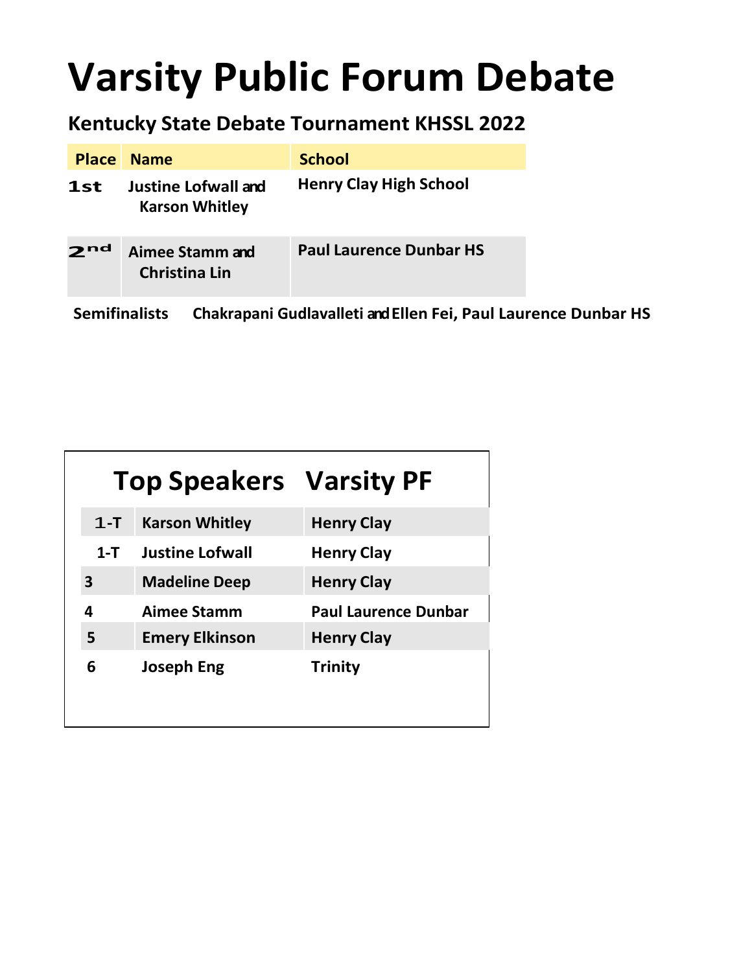### **Varsity Public Forum Debate**

#### **Kentucky State Debate Tournament KHSSL 2022**

| <b>Place</b>         | <b>Name</b>                                  | <b>School</b>                                                  |
|----------------------|----------------------------------------------|----------------------------------------------------------------|
| 1st                  | Justine Lofwall and<br><b>Karson Whitley</b> | <b>Henry Clay High School</b>                                  |
| 2 <sup>nd</sup>      | Aimee Stamm and<br><b>Christina Lin</b>      | <b>Paul Laurence Dunbar HS</b>                                 |
| <b>Semifinalists</b> |                                              | Chakrapani Gudlavalleti and Ellen Fei, Paul Laurence Dunbar HS |

|         | <b>Top Speakers Varsity PF</b> |                             |
|---------|--------------------------------|-----------------------------|
| $1 - T$ | <b>Karson Whitley</b>          | <b>Henry Clay</b>           |
| $1-T$   | <b>Justine Lofwall</b>         | <b>Henry Clay</b>           |
| 3       | <b>Madeline Deep</b>           | <b>Henry Clay</b>           |
| 4       | Aimee Stamm                    | <b>Paul Laurence Dunbar</b> |
| 5       | <b>Emery Elkinson</b>          | <b>Henry Clay</b>           |
| 6       | <b>Joseph Eng</b>              | <b>Trinity</b>              |
|         |                                |                             |